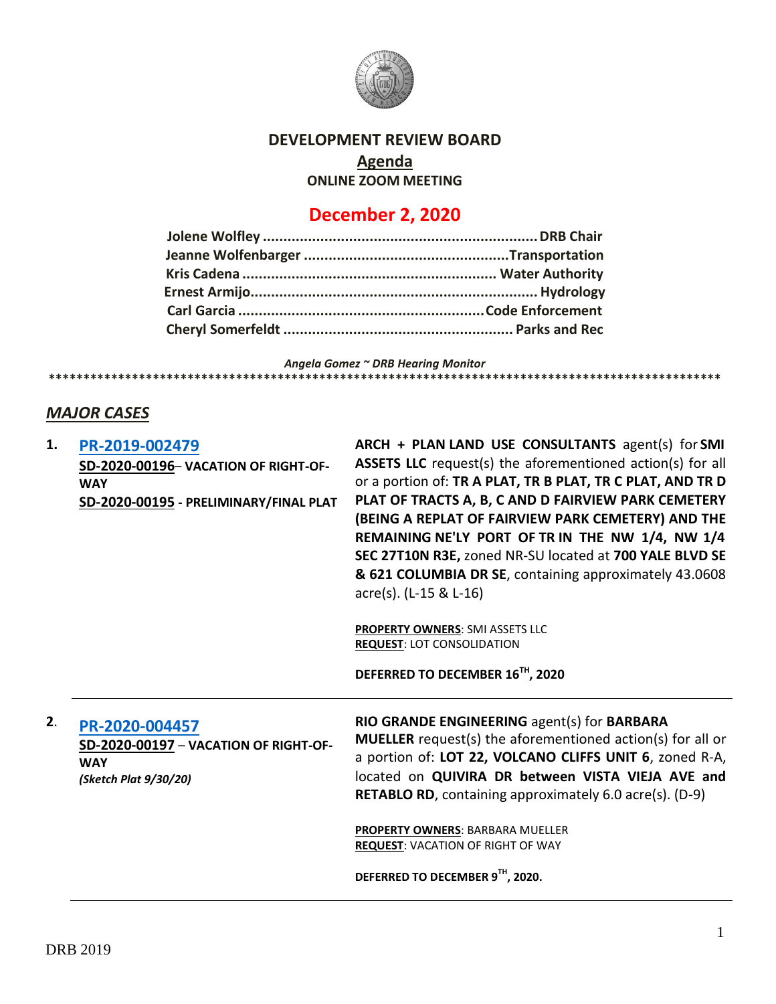

### **DEVELOPMENT REVIEW BOARD**

## **Agenda**

**ONLINE ZOOM MEETING**

# **December 2, 2020**

*Angela Gomez ~ DRB Hearing Monitor* **\*\*\*\*\*\*\*\*\*\*\*\*\*\*\*\*\*\*\*\*\*\*\*\*\*\*\*\*\*\*\*\*\*\*\*\*\*\*\*\*\*\*\*\*\*\*\*\*\*\*\*\*\*\*\*\*\*\*\*\*\*\*\*\*\*\*\*\*\*\*\*\*\*\*\*\*\*\*\*\*\*\*\*\*\*\*\*\*\*\*\*\*\*\*\*\*\*** 

### *MAJOR CASES*

| 1. | PR-2019-002479<br>SD-2020-00196- VACATION OF RIGHT-OF-<br><b>WAY</b><br>SD-2020-00195 - PRELIMINARY/FINAL PLAT | ARCH + PLAN LAND USE CONSULTANTS agent(s) for SMI<br><b>ASSETS LLC</b> request(s) the aforementioned action(s) for all<br>or a portion of: TR A PLAT, TR B PLAT, TR C PLAT, AND TR D<br>PLAT OF TRACTS A, B, C AND D FAIRVIEW PARK CEMETERY<br>(BEING A REPLAT OF FAIRVIEW PARK CEMETERY) AND THE<br>REMAINING NE'LY PORT OF TR IN THE NW 1/4, NW 1/4<br>SEC 27T10N R3E, zoned NR-SU located at 700 YALE BLVD SE<br>& 621 COLUMBIA DR SE, containing approximately 43.0608<br>acre(s). (L-15 & L-16)<br>PROPERTY OWNERS: SMI ASSETS LLC<br><b>REQUEST: LOT CONSOLIDATION</b><br>DEFERRED TO DECEMBER 16TH, 2020 |
|----|----------------------------------------------------------------------------------------------------------------|-----------------------------------------------------------------------------------------------------------------------------------------------------------------------------------------------------------------------------------------------------------------------------------------------------------------------------------------------------------------------------------------------------------------------------------------------------------------------------------------------------------------------------------------------------------------------------------------------------------------|
| 2. | PR-2020-004457<br>SD-2020-00197 - VACATION OF RIGHT-OF-<br><b>WAY</b><br>(Sketch Plat 9/30/20)                 | RIO GRANDE ENGINEERING agent(s) for BARBARA<br><b>MUELLER</b> request(s) the aforementioned action(s) for all or<br>a portion of: LOT 22, VOLCANO CLIFFS UNIT 6, zoned R-A,<br>located on QUIVIRA DR between VISTA VIEJA AVE and<br><b>RETABLO RD</b> , containing approximately 6.0 acre(s). (D-9)<br>PROPERTY OWNERS: BARBARA MUELLER<br><b>REQUEST: VACATION OF RIGHT OF WAY</b>                                                                                                                                                                                                                             |
|    |                                                                                                                | DEFERRED TO DECEMBER 9TH, 2020.                                                                                                                                                                                                                                                                                                                                                                                                                                                                                                                                                                                 |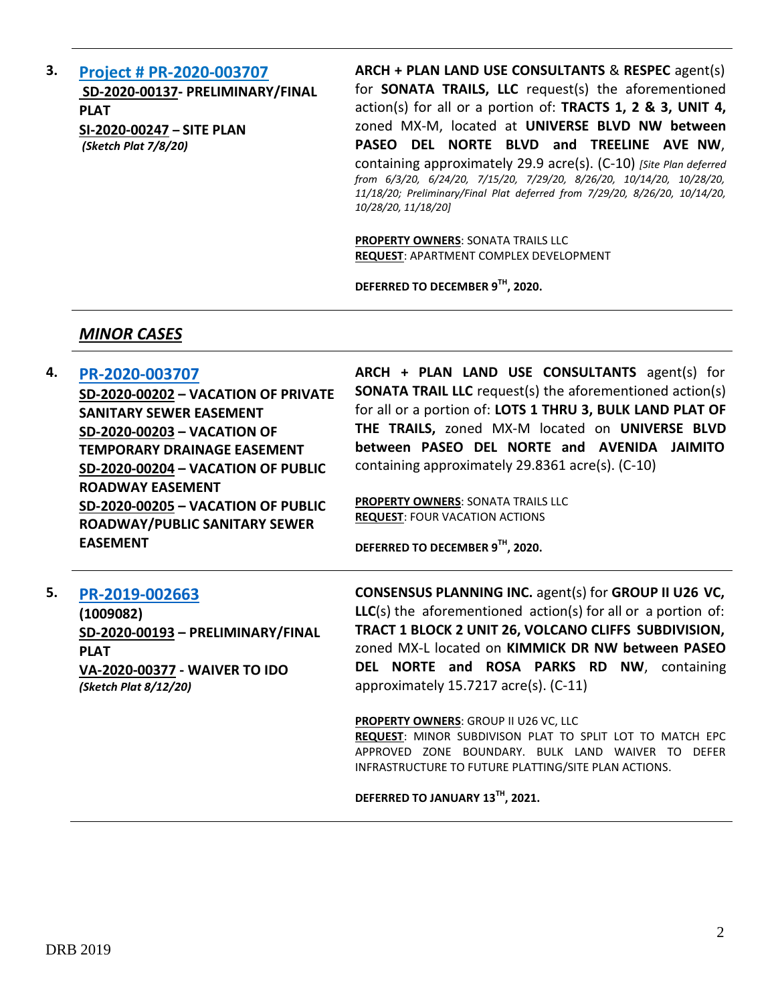**3. [Project # PR-2020-003707](http://data.cabq.gov/government/planning/DRB/PR-2020-003707/DRB%20Submittals/PR-2020-003707_Dec_02_2020_Supp/) SD-2020-00137- PRELIMINARY/FINAL PLAT SI-2020-00247 – SITE PLAN** *(Sketch Plat 7/8/20)*

**ARCH + PLAN LAND USE CONSULTANTS** & **RESPEC** agent(s) for **SONATA TRAILS, LLC** request(s) the aforementioned action(s) for all or a portion of: **TRACTS 1, 2 & 3, UNIT 4,**  zoned MX-M, located at **UNIVERSE BLVD NW between PASEO DEL NORTE BLVD and TREELINE AVE NW**, containing approximately 29.9 acre(s). (C-10) *[Site Plan deferred from 6/3/20, 6/24/20, 7/15/20, 7/29/20, 8/26/20, 10/14/20, 10/28/20, 11/18/20; Preliminary/Final Plat deferred from 7/29/20, 8/26/20, 10/14/20, 10/28/20, 11/18/20]*

**PROPERTY OWNERS**: SONATA TRAILS LLC **REQUEST**: APARTMENT COMPLEX DEVELOPMENT

**DEFERRED TO DECEMBER 9TH, 2020.**

#### *MINOR CASES*

**4. [PR-2020-003707](http://data.cabq.gov/government/planning/DRB/PR-2020-003707/DRB%20Submittals/PR-2020-003707_Dec_02_2020/Application/DRB%20VPR%20Arch%20%26%20Plan%20PR-2020-003707.pdf)**

**SD-2020-00202 – VACATION OF PRIVATE SANITARY SEWER EASEMENT SD-2020-00203 – VACATION OF TEMPORARY DRAINAGE EASEMENT SD-2020-00204 – VACATION OF PUBLIC ROADWAY EASEMENT SD-2020-00205 – VACATION OF PUBLIC ROADWAY/PUBLIC SANITARY SEWER EASEMENT**

**ARCH + PLAN LAND USE CONSULTANTS** agent(s) for **SONATA TRAIL LLC** request(s) the aforementioned action(s) for all or a portion of: **LOTS 1 THRU 3, BULK LAND PLAT OF THE TRAILS,** zoned MX-M located on **UNIVERSE BLVD between PASEO DEL NORTE and AVENIDA JAIMITO** containing approximately 29.8361 acre(s). (C-10)

**PROPERTY OWNERS**: SONATA TRAILS LLC **REQUEST**: FOUR VACATION ACTIONS

**DEFERRED TO DECEMBER 9TH, 2020.**

**5. [PR-2019-002663](http://data.cabq.gov/government/planning/DRB/PR-2019-002663/DRB%20Submittals/PR-2019-002663%20Plat%20and%20Waiver%20Application.pdf) (1009082) SD-2020-00193 – PRELIMINARY/FINAL PLAT VA-2020-00377 - WAIVER TO IDO** *(Sketch Plat 8/12/20)*

**CONSENSUS PLANNING INC.** agent(s) for **GROUP II U26 VC, LLC**(s) the aforementioned action(s) for all or a portion of: **TRACT 1 BLOCK 2 UNIT 26, VOLCANO CLIFFS SUBDIVISION,** zoned MX-L located on **KIMMICK DR NW between PASEO DEL NORTE and ROSA PARKS RD NW**, containing approximately 15.7217 acre(s). (C-11)

**PROPERTY OWNERS**: GROUP II U26 VC, LLC **REQUEST**: MINOR SUBDIVISON PLAT TO SPLIT LOT TO MATCH EPC APPROVED ZONE BOUNDARY. BULK LAND WAIVER TO DEFER INFRASTRUCTURE TO FUTURE PLATTING/SITE PLAN ACTIONS.

**DEFERRED TO JANUARY 13TH, 2021.**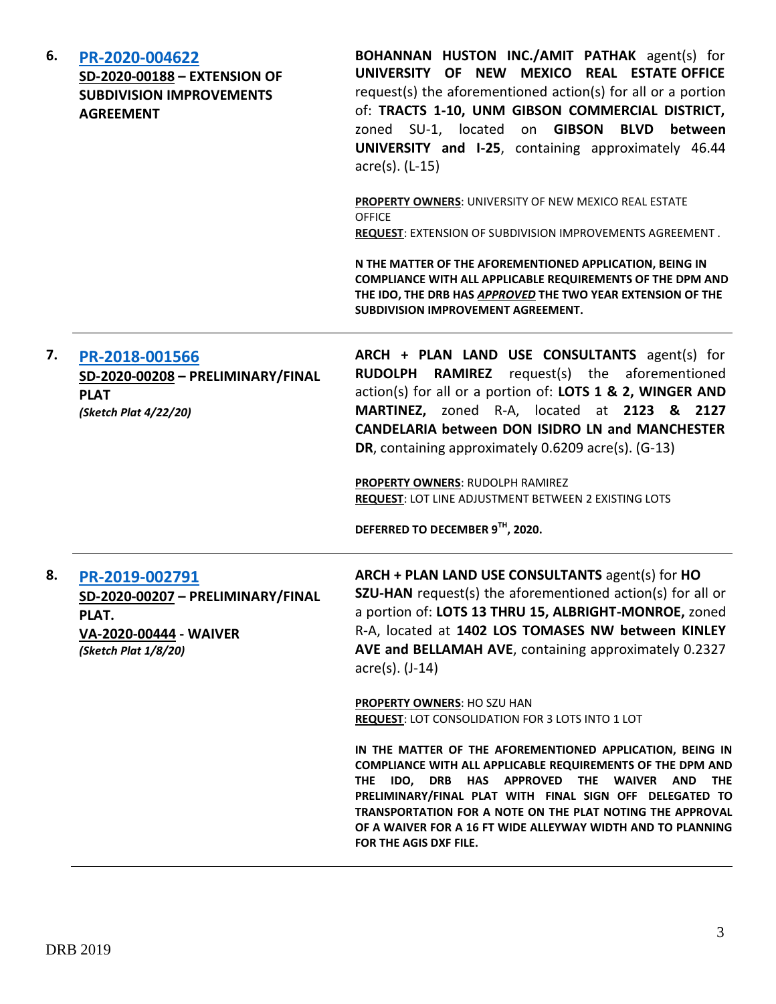| 6. | PR-2020-004622<br>SD-2020-00188 - EXTENSION OF<br><b>SUBDIVISION IMPROVEMENTS</b><br><b>AGREEMENT</b>          | BOHANNAN HUSTON INC./AMIT PATHAK agent(s) for<br>UNIVERSITY OF NEW MEXICO REAL ESTATE OFFICE<br>request(s) the aforementioned action(s) for all or a portion<br>of: TRACTS 1-10, UNM GIBSON COMMERCIAL DISTRICT,<br>zoned SU-1, located on GIBSON<br><b>BLVD</b><br>between<br>UNIVERSITY and I-25, containing approximately 46.44<br>acre(s). (L-15)                                                                                                                                                      |
|----|----------------------------------------------------------------------------------------------------------------|------------------------------------------------------------------------------------------------------------------------------------------------------------------------------------------------------------------------------------------------------------------------------------------------------------------------------------------------------------------------------------------------------------------------------------------------------------------------------------------------------------|
|    |                                                                                                                | PROPERTY OWNERS: UNIVERSITY OF NEW MEXICO REAL ESTATE<br><b>OFFICE</b><br><b>REQUEST:</b> EXTENSION OF SUBDIVISION IMPROVEMENTS AGREEMENT.                                                                                                                                                                                                                                                                                                                                                                 |
|    |                                                                                                                | N THE MATTER OF THE AFOREMENTIONED APPLICATION, BEING IN<br>COMPLIANCE WITH ALL APPLICABLE REQUIREMENTS OF THE DPM AND<br>THE IDO, THE DRB HAS APPROVED THE TWO YEAR EXTENSION OF THE<br>SUBDIVISION IMPROVEMENT AGREEMENT.                                                                                                                                                                                                                                                                                |
| 7. | PR-2018-001566<br>SD-2020-00208 - PRELIMINARY/FINAL<br><b>PLAT</b><br>(Sketch Plat 4/22/20)                    | ARCH + PLAN LAND USE CONSULTANTS agent(s) for<br>RUDOLPH RAMIREZ<br>request(s) the aforementioned<br>action(s) for all or a portion of: LOTS 1 & 2, WINGER AND<br>MARTINEZ, zoned R-A, located at 2123 & 2127<br>CANDELARIA between DON ISIDRO LN and MANCHESTER<br>DR, containing approximately 0.6209 acre(s). (G-13)<br>PROPERTY OWNERS: RUDOLPH RAMIREZ<br><b>REQUEST: LOT LINE ADJUSTMENT BETWEEN 2 EXISTING LOTS</b><br>DEFERRED TO DECEMBER 9TH, 2020.                                              |
| 8. | PR-2019-002791<br>SD-2020-00207 - PRELIMINARY/FINAL<br>PLAT.<br>VA-2020-00444 - WAIVER<br>(Sketch Plat 1/8/20) | ARCH + PLAN LAND USE CONSULTANTS agent(s) for HO<br>SZU-HAN request(s) the aforementioned action(s) for all or<br>a portion of: LOTS 13 THRU 15, ALBRIGHT-MONROE, zoned<br>R-A, located at 1402 LOS TOMASES NW between KINLEY<br>AVE and BELLAMAH AVE, containing approximately 0.2327<br>$\arccos(5)$ . (J-14)                                                                                                                                                                                            |
|    |                                                                                                                | <b>PROPERTY OWNERS: HO SZU HAN</b><br><b>REQUEST: LOT CONSOLIDATION FOR 3 LOTS INTO 1 LOT</b><br>IN THE MATTER OF THE AFOREMENTIONED APPLICATION, BEING IN<br><b>COMPLIANCE WITH ALL APPLICABLE REQUIREMENTS OF THE DPM AND</b><br>THE IDO, DRB HAS APPROVED THE WAIVER AND<br><b>THE</b><br>PRELIMINARY/FINAL PLAT WITH FINAL SIGN OFF DELEGATED TO<br>TRANSPORTATION FOR A NOTE ON THE PLAT NOTING THE APPROVAL<br>OF A WAIVER FOR A 16 FT WIDE ALLEYWAY WIDTH AND TO PLANNING<br>FOR THE AGIS DXF FILE. |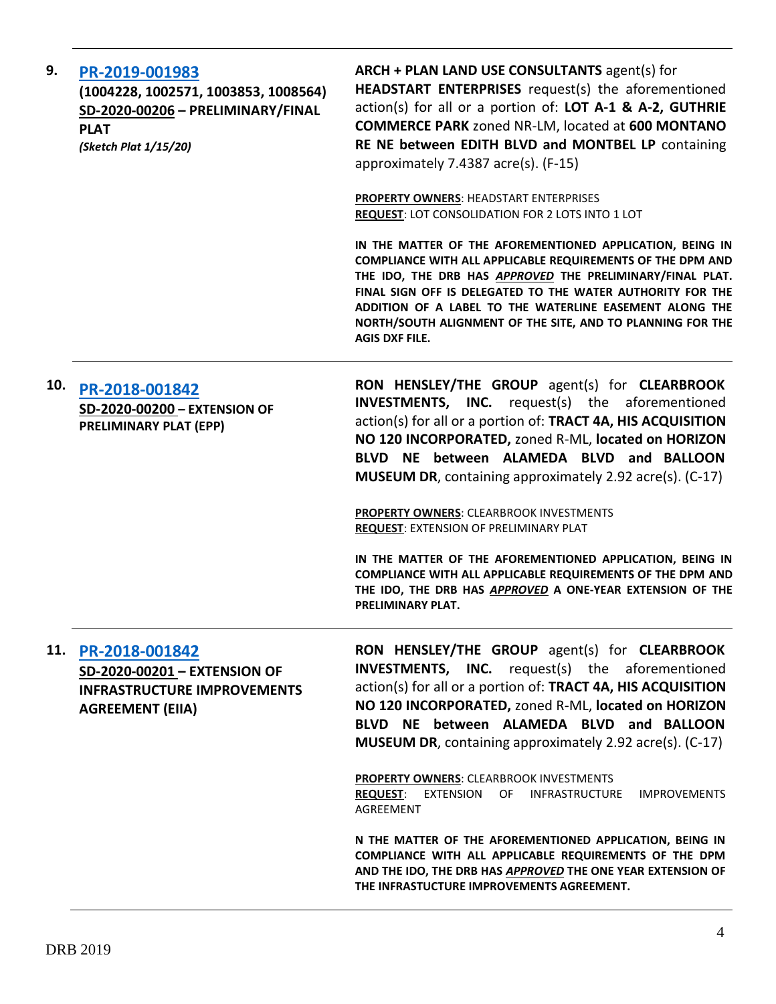| 9.  | PR-2019-001983<br>(1004228, 1002571, 1003853, 1008564)<br>SD-2020-00206 - PRELIMINARY/FINAL<br><b>PLAT</b><br>(Sketch Plat 1/15/20) | ARCH + PLAN LAND USE CONSULTANTS agent(s) for<br>HEADSTART ENTERPRISES request(s) the aforementioned<br>action(s) for all or a portion of: LOT A-1 & A-2, GUTHRIE<br><b>COMMERCE PARK zoned NR-LM, located at 600 MONTANO</b><br>RE NE between EDITH BLVD and MONTBEL LP containing<br>approximately 7.4387 acre(s). (F-15)                                                                                                                                                                                                                                                                                                               |
|-----|-------------------------------------------------------------------------------------------------------------------------------------|-------------------------------------------------------------------------------------------------------------------------------------------------------------------------------------------------------------------------------------------------------------------------------------------------------------------------------------------------------------------------------------------------------------------------------------------------------------------------------------------------------------------------------------------------------------------------------------------------------------------------------------------|
|     |                                                                                                                                     | <b>PROPERTY OWNERS: HEADSTART ENTERPRISES</b><br><b>REQUEST: LOT CONSOLIDATION FOR 2 LOTS INTO 1 LOT</b>                                                                                                                                                                                                                                                                                                                                                                                                                                                                                                                                  |
|     |                                                                                                                                     | IN THE MATTER OF THE AFOREMENTIONED APPLICATION, BEING IN<br>COMPLIANCE WITH ALL APPLICABLE REQUIREMENTS OF THE DPM AND<br>THE IDO, THE DRB HAS APPROVED THE PRELIMINARY/FINAL PLAT.<br>FINAL SIGN OFF IS DELEGATED TO THE WATER AUTHORITY FOR THE<br>ADDITION OF A LABEL TO THE WATERLINE EASEMENT ALONG THE<br>NORTH/SOUTH ALIGNMENT OF THE SITE, AND TO PLANNING FOR THE<br><b>AGIS DXF FILE.</b>                                                                                                                                                                                                                                      |
| 10. | PR-2018-001842<br>SD-2020-00200 - EXTENSION OF<br>PRELIMINARY PLAT (EPP)                                                            | RON HENSLEY/THE GROUP agent(s) for CLEARBROOK<br><b>INVESTMENTS, INC.</b> request(s) the aforementioned<br>action(s) for all or a portion of: TRACT 4A, HIS ACQUISITION<br>NO 120 INCORPORATED, zoned R-ML, located on HORIZON<br>BLVD NE between ALAMEDA BLVD and BALLOON<br><b>MUSEUM DR</b> , containing approximately 2.92 acre(s). (C-17)<br><b>PROPERTY OWNERS: CLEARBROOK INVESTMENTS</b><br><b>REQUEST: EXTENSION OF PRELIMINARY PLAT</b><br>IN THE MATTER OF THE AFOREMENTIONED APPLICATION, BEING IN<br>COMPLIANCE WITH ALL APPLICABLE REQUIREMENTS OF THE DPM AND<br>THE IDO, THE DRB HAS APPROVED A ONE-YEAR EXTENSION OF THE |
|     |                                                                                                                                     | PRELIMINARY PLAT.                                                                                                                                                                                                                                                                                                                                                                                                                                                                                                                                                                                                                         |
| 11. | PR-2018-001842<br>SD-2020-00201 - EXTENSION OF<br><b>INFRASTRUCTURE IMPROVEMENTS</b><br><b>AGREEMENT (EIIA)</b>                     | RON HENSLEY/THE GROUP agent(s) for CLEARBROOK<br><b>INVESTMENTS, INC.</b> request(s) the aforementioned<br>action(s) for all or a portion of: TRACT 4A, HIS ACQUISITION<br>NO 120 INCORPORATED, zoned R-ML, located on HORIZON<br>BLVD NE between ALAMEDA BLVD and BALLOON<br>MUSEUM DR, containing approximately 2.92 acre(s). (C-17)                                                                                                                                                                                                                                                                                                    |
|     |                                                                                                                                     | <b>PROPERTY OWNERS: CLEARBROOK INVESTMENTS</b><br><b>REQUEST:</b><br>EXTENSION OF INFRASTRUCTURE<br><b>IMPROVEMENTS</b><br>AGREEMENT                                                                                                                                                                                                                                                                                                                                                                                                                                                                                                      |
|     |                                                                                                                                     | N THE MATTER OF THE AFOREMENTIONED APPLICATION, BEING IN<br>COMPLIANCE WITH ALL APPLICABLE REQUIREMENTS OF THE DPM<br>AND THE IDO, THE DRB HAS APPROVED THE ONE YEAR EXTENSION OF<br>THE INFRASTUCTURE IMPROVEMENTS AGREEMENT.                                                                                                                                                                                                                                                                                                                                                                                                            |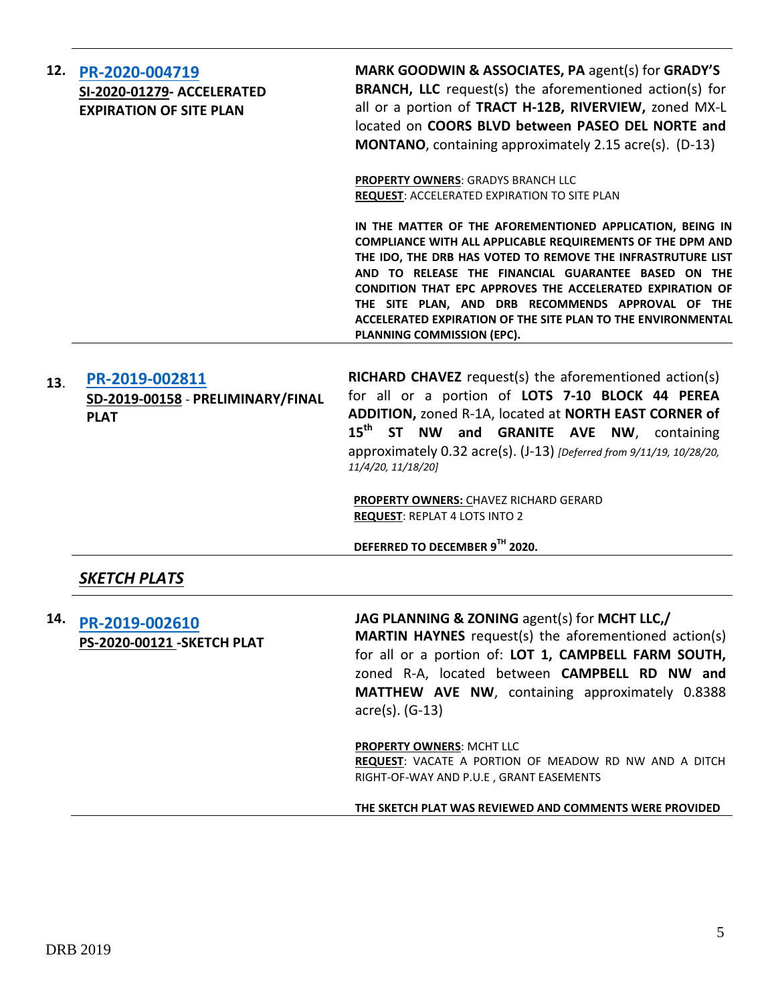| 12. | PR-2020-004719<br>SI-2020-01279- ACCELERATED<br><b>EXPIRATION OF SITE PLAN</b> | MARK GOODWIN & ASSOCIATES, PA agent(s) for GRADY'S<br><b>BRANCH, LLC</b> request(s) the aforementioned action(s) for<br>all or a portion of TRACT H-12B, RIVERVIEW, zoned MX-L<br>located on COORS BLVD between PASEO DEL NORTE and<br><b>MONTANO</b> , containing approximately 2.15 acre(s). (D-13)                                                                                                                                                                |
|-----|--------------------------------------------------------------------------------|----------------------------------------------------------------------------------------------------------------------------------------------------------------------------------------------------------------------------------------------------------------------------------------------------------------------------------------------------------------------------------------------------------------------------------------------------------------------|
|     |                                                                                | <b>PROPERTY OWNERS: GRADYS BRANCH LLC</b><br>REQUEST: ACCELERATED EXPIRATION TO SITE PLAN                                                                                                                                                                                                                                                                                                                                                                            |
|     |                                                                                | IN THE MATTER OF THE AFOREMENTIONED APPLICATION, BEING IN<br><b>COMPLIANCE WITH ALL APPLICABLE REQUIREMENTS OF THE DPM AND</b><br>THE IDO, THE DRB HAS VOTED TO REMOVE THE INFRASTRUTURE LIST<br>AND TO RELEASE THE FINANCIAL GUARANTEE BASED ON THE<br>CONDITION THAT EPC APPROVES THE ACCELERATED EXPIRATION OF<br>THE SITE PLAN, AND DRB RECOMMENDS APPROVAL OF THE<br>ACCELERATED EXPIRATION OF THE SITE PLAN TO THE ENVIRONMENTAL<br>PLANNING COMMISSION (EPC). |
| 13. | PR-2019-002811<br>SD-2019-00158 - PRELIMINARY/FINAL<br><b>PLAT</b>             | <b>RICHARD CHAVEZ</b> request(s) the aforementioned action(s)<br>for all or a portion of LOTS 7-10 BLOCK 44 PEREA<br>ADDITION, zoned R-1A, located at NORTH EAST CORNER of<br>15 <sup>th</sup> ST NW and GRANITE AVE NW, containing<br>approximately 0.32 acre(s). (J-13) [Deferred from 9/11/19, 10/28/20,<br>11/4/20, 11/18/20]                                                                                                                                    |
|     |                                                                                | <b>PROPERTY OWNERS: CHAVEZ RICHARD GERARD</b><br><b>REQUEST: REPLAT 4 LOTS INTO 2</b>                                                                                                                                                                                                                                                                                                                                                                                |
|     |                                                                                | DEFERRED TO DECEMBER 9TH 2020.                                                                                                                                                                                                                                                                                                                                                                                                                                       |
|     | <b>SKETCH PLATS</b>                                                            |                                                                                                                                                                                                                                                                                                                                                                                                                                                                      |
| 14. | PR-2019-002610<br><b>PS-2020-00121 - SKETCH PLAT</b>                           | JAG PLANNING & ZONING agent(s) for MCHT LLC,/<br><b>MARTIN HAYNES</b> request(s) the aforementioned action(s)<br>for all or a portion of: LOT 1, CAMPBELL FARM SOUTH,<br>zoned R-A, located between CAMPBELL RD NW and<br>MATTHEW AVE NW, containing approximately 0.8388<br>$\arccos(5)$ . (G-13)                                                                                                                                                                   |
|     |                                                                                | PROPERTY OWNERS: MCHT LLC<br>REQUEST: VACATE A PORTION OF MEADOW RD NW AND A DITCH<br>RIGHT-OF-WAY AND P.U.E, GRANT EASEMENTS                                                                                                                                                                                                                                                                                                                                        |
|     |                                                                                | THE SKETCH PLAT WAS REVIEWED AND COMMENTS WERE PROVIDED                                                                                                                                                                                                                                                                                                                                                                                                              |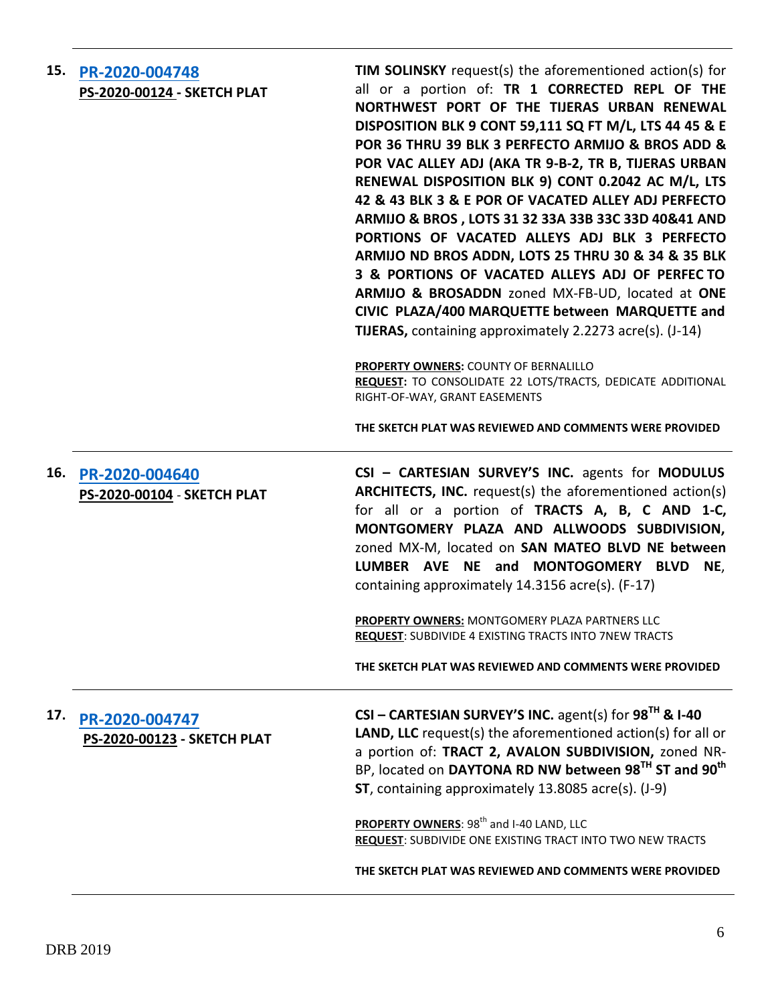| 15. PR-2020-004748                 |
|------------------------------------|
| <b>PS-2020-00124 - SKETCH PLAT</b> |

**TIM SOLINSKY** request(s) the aforementioned action(s) for all or a portion of: **TR 1 CORRECTED REPL OF THE NORTHWEST PORT OF THE TIJERAS URBAN RENEWAL DISPOSITION BLK 9 CONT 59,111 SQ FT M/L, LTS 44 45 & E POR 36 THRU 39 BLK 3 PERFECTO ARMIJO & BROS ADD & POR VAC ALLEY ADJ (AKA TR 9-B-2, TR B, TIJERAS URBAN RENEWAL DISPOSITION BLK 9) CONT 0.2042 AC M/L, LTS 42 & 43 BLK 3 & E POR OF VACATED ALLEY ADJ PERFECTO ARMIJO & BROS , LOTS 31 32 33A 33B 33C 33D 40&41 AND PORTIONS OF VACATED ALLEYS ADJ BLK 3 PERFECTO ARMIJO ND BROS ADDN, LOTS 25 THRU 30 & 34 & 35 BLK 3 & PORTIONS OF VACATED ALLEYS ADJ OF PERFEC TO ARMIJO & BROSADDN** zoned MX-FB-UD, located at **ONE CIVIC PLAZA/400 MARQUETTE between MARQUETTE and TIJERAS,** containing approximately 2.2273 acre(s). (J-14)

**PROPERTY OWNERS:** COUNTY OF BERNALILLO **REQUEST:** TO CONSOLIDATE 22 LOTS/TRACTS, DEDICATE ADDITIONAL RIGHT-OF-WAY, GRANT EASEMENTS

**THE SKETCH PLAT WAS REVIEWED AND COMMENTS WERE PROVIDED**

#### **16. [PR-2020-004640](http://data.cabq.gov/government/planning/DRB/PR-2020-004640/DRB%20Submittals/) PS-2020-00104** - **SKETCH PLAT**

**CSI – CARTESIAN SURVEY'S INC.** agents for **MODULUS ARCHITECTS, INC.** request(s) the aforementioned action(s) for all or a portion of **TRACTS A, B, C AND 1-C, MONTGOMERY PLAZA AND ALLWOODS SUBDIVISION,** zoned MX-M, located on **SAN MATEO BLVD NE between LUMBER AVE NE and MONTOGOMERY BLVD NE**, containing approximately 14.3156 acre(s). (F-17)

**PROPERTY OWNERS:** MONTGOMERY PLAZA PARTNERS LLC **REQUEST**: SUBDIVIDE 4 EXISTING TRACTS INTO 7NEW TRACTS

**THE SKETCH PLAT WAS REVIEWED AND COMMENTS WERE PROVIDED**

## **17. [PR-2020-004747](http://data.cabq.gov/government/planning/DRB/PR-2020-004747/DRB%20Submittals/PR-2020-004747_Dec_02_2020/Application/DRB%20SK%20Cartesian%20PR-2020-004747%20PS-2020-00123%20signed%20copy.pdf) PS-2020-00123 - SKETCH PLAT**

**CSI – CARTESIAN SURVEY'S INC.** agent(s) for **98TH & I-40 LAND, LLC** request(s) the aforementioned action(s) for all or a portion of: **TRACT 2, AVALON SUBDIVISION,** zoned NR-BP, located on **DAYTONA RD NW between 98TH ST and 90th ST**, containing approximately 13.8085 acre(s). (J-9)

**PROPERTY OWNERS: 98<sup>th</sup> and I-40 LAND, LLC REQUEST**: SUBDIVIDE ONE EXISTING TRACT INTO TWO NEW TRACTS

**THE SKETCH PLAT WAS REVIEWED AND COMMENTS WERE PROVIDED**